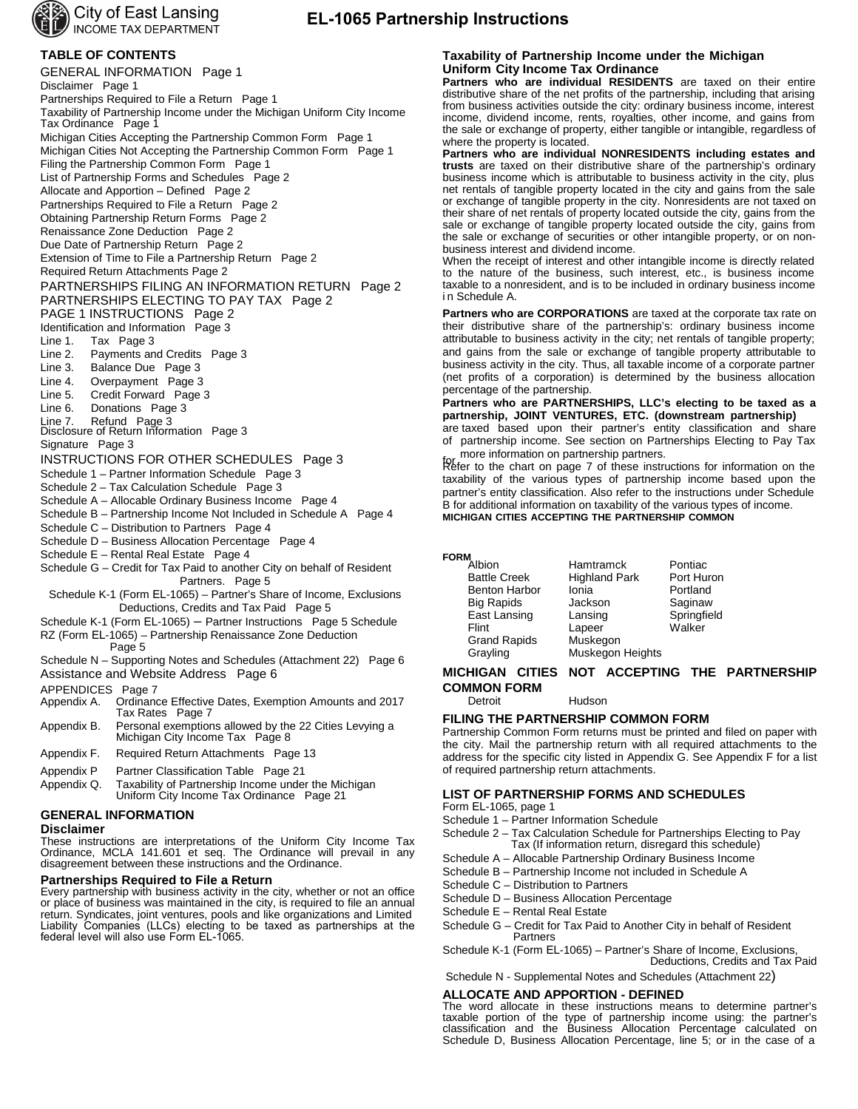

### **EL-1065 Partnership Instructions**

### **TABLE OF CONTENTS**

GENERAL INFORMATION Page 1 Disclaimer Page 1 Partnerships Required to File a Return Page 1 Taxability of Partnership Income under the Michigan Uniform City Income Tax Ordinance Page 1 Michigan Cities Accepting the Partnership Common Form Page 1 Michigan Cities Not Accepting the Partnership Common Form Page 1 Filing the Partnership Common Form Page 1 List of Partnership Forms and Schedules Page 2 Allocate and Apportion – Defined Page 2 Partnerships Required to File a Return Page 2 Obtaining Partnership Return Forms Page 2 Renaissance Zone Deduction Page 2 Due Date of Partnership Return Page 2 Extension of Time to File a Partnership Return Page 2 Required Return Attachments Page 2 PARTNERSHIPS FILING AN INFORMATION RETURN Page 2 PARTNERSHIPS ELECTING TO PAY TAX Page 2 PAGE 1 INSTRUCTIONS Page 2 Identification and Information Page 3<br>Line 1. Tax Page 3 Line 1. Tax Page 3<br>Line 2. Payments an Payments and Credits Page 3 Line 3. Balance Due Page 3 Line 4. Overpayment Page 3 Line 5. Credit Forward Page 3<br>Line 6. Donations Page 3 Donations Page 3 Line 7. Refund Page 3<br>Disclosure of Return Information Page 3 Signature Page 3 INSTRUCTIONS FOR OTHER SCHEDULES Page 3 Schedule 1 – Partner Information Schedule Page 3 Schedule 2 – Tax Calculation Schedule Page 3 Schedule A – Allocable Ordinary Business Income Page 4 Schedule B – Partnership Income Not Included in Schedule A Page 4 Schedule C – Distribution to Partners Page 4 Schedule D – Business Allocation Percentage Page 4 Schedule E – Rental Real Estate Page 4 Schedule G – Credit for Tax Paid to another City on behalf of Resident Partners. Page 5

Schedule K-1 (Form EL-1065) – Partner's Share of Income, Exclusions Deductions, Credits and Tax Paid Page 5

- Schedule K-1 (Form EL-1065) Partner Instructions Page 5 Schedule
- RZ (Form EL-1065) Partnership Renaissance Zone Deduction
- Page 5
- Schedule N Supporting Notes and Schedules (Attachment 22) Page 6 Assistance and Website Address Page 6

- APPENDICES Page 7<br>Appendix A. Ordinano Ordinance Effective Dates, Exemption Amounts and 2017 Tax Rates Page 7
- Appendix B. Personal exemptions allowed by the 22 Cities Levying a Michigan City Income Tax Page 8
- Appendix F. Required Return Attachments Page 13
- Appendix P Partner Classification Table Page 21
- Appendix Q. Taxability of Partnership Income under the Michigan Uniform City Income Tax Ordinance Page 21

### **GENERAL INFORMATION**

#### **Disclaimer**

These instructions are interpretations of the Uniform City Income Tax Ordinance, MCLA 141.601 et seq. The Ordinance will prevail in any disagreement between these instructions and the Ordinance.

### **Partnerships Required to File a Return**

Every partnership with business activity in the city, whether or not an office or place of business was maintained in the city, is required to file an annual return. Syndicates, joint ventures, pools and like organizations and Limited Liability Companies (LLCs) electing to be taxed as partnerships at the federal level will also use Form EL-1065.

### **Taxability of Partnership Income under the Michigan Uniform City Income Tax Ordinance**

**Partners who are individual RESIDENTS** are taxed on their entire distributive share of the net profits of the partnership, including that arising from business activities outside the city: ordinary business income, interest income, dividend income, rents, royalties, other income, and gains from the sale or exchange of property, either tangible or intangible, regardless of where the property is located.

**Partners who are individual NONRESIDENTS including estates and trusts** are taxed on their distributive share of the partnership's ordinary business income which is attributable to business activity in the city, plus net rentals of tangible property located in the city and gains from the sale or exchange of tangible property in the city. Nonresidents are not taxed on their share of net rentals of property located outside the city, gains from the sale or exchange of tangible property located outside the city, gains from the sale or exchange of securities or other intangible property, or on nonbusiness interest and dividend income.

When the receipt of interest and other intangible income is directly related to the nature of the business, such interest, etc., is business income taxable to a nonresident, and is to be included in ordinary business income i n Schedule A.

**Partners who are CORPORATIONS** are taxed at the corporate tax rate on their distributive share of the partnership's: ordinary business income attributable to business activity in the city; net rentals of tangible property; and gains from the sale or exchange of tangible property attributable to business activity in the city. Thus, all taxable income of a corporate partner (net profits of a corporation) is determined by the business allocation percentage of the partnership.

**Partners who are PARTNERSHIPS, LLC's electing to be taxed as a partnership, JOINT VENTURES, ETC. (downstream partnership)**

are taxed based upon their partner's entity classification and share of partnership income. See section on Partnerships Electing to Pay Tax more information on partnership partners.

for these information on partnersing partners.<br>Refer to the chart on page 7 of these instructions for information on the taxability of the various types of partnership income based upon the partner's entity classification. Also refer to the instructions under Schedule B for additional information on taxability of the various types of income. **MICHIGAN CITIES ACCEPTING THE PARTNERSHIP COMMON** 

### **FORM**

| "Albion              | Hamtramck            | Pontiac     |
|----------------------|----------------------|-------------|
| <b>Battle Creek</b>  | <b>Highland Park</b> | Port Huron  |
| <b>Benton Harbor</b> | Ionia                | Portland    |
| <b>Big Rapids</b>    | Jackson              | Saginaw     |
| East Lansing         | Lansing              | Springfield |
| Flint                | Lapeer               | Walker      |
| <b>Grand Rapids</b>  | Muskegon             |             |
| Grayling             | Muskegon Heights     |             |

### **MICHIGAN CITIES NOT ACCEPTING THE PARTNERSHIP COMMON FORM**<br>Detroit

Hudson

### **FILING THE PARTNERSHIP COMMON FORM**

Partnership Common Form returns must be printed and filed on paper with the city. Mail the partnership return with all required attachments to the address for the specific city listed in Appendix G. See Appendix F for a list of required partnership return attachments.

### **LIST OF PARTNERSHIP FORMS AND SCHEDULES**

Form EL-1065, page 1

Schedule 1 – Partner Information Schedule

- Schedule 2 Tax Calculation Schedule for Partnerships Electing to Pay Tax (If information return, disregard this schedule)
- Schedule A Allocable Partnership Ordinary Business Income
- Schedule B Partnership Income not included in Schedule A
- Schedule C Distribution to Partners
- Schedule D Business Allocation Percentage
- Schedule E Rental Real Estate
- Schedule G Credit for Tax Paid to Another City in behalf of Resident **Partners**

Schedule K-1 (Form EL-1065) – Partner's Share of Income, Exclusions, Deductions, Credits and Tax Paid

Schedule N - Supplemental Notes and Schedules (Attachment 22)

# **ALLOCATE AND APPORTION - DEFINED**

The word allocate in these instructions means to determine partner's taxable portion of the type of partnership income using: the partner's classification and the Business Allocation Percentage calculated on Schedule D, Business Allocation Percentage, line 5; or in the case of a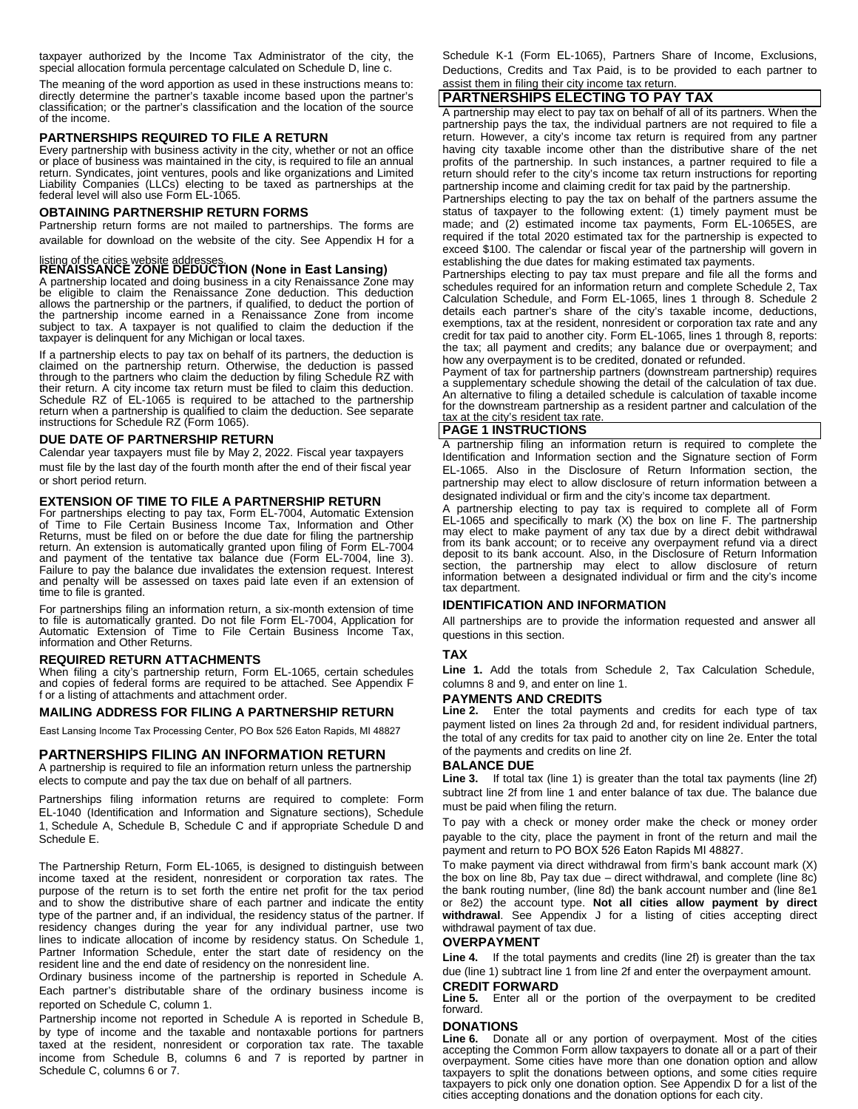taxpayer authorized by the Income Tax Administrator of the city, the special allocation formula percentage calculated on Schedule D, line c.

The meaning of the word apportion as used in these instructions means to: directly determine the partner's taxable income based upon the partner's classification; or the partner's classification and the location of the source of the income.

### **PARTNERSHIPS REQUIRED TO FILE A RETURN**

Every partnership with business activity in the city, whether or not an office or place of business was maintained in the city, is required to file an annual return. Syndicates, joint ventures, pools and like organizations and Limited Liability Companies (LLCs) electing to be taxed as partnerships at the federal level will also use Form EL-1065.

### **OBTAINING PARTNERSHIP RETURN FORMS**

Partnership return forms are not mailed to partnerships. The forms are available for download on the website of the city. See Appendix H for a

## listing of the cities website addresses. **RENAISSANCE ZONE DEDUCTION (None in East Lansing)**

A partnership located and doing business in a city Renaissance Zone may be eligible to claim the Renaissance Zone deduction. This deduction allows the partnership or the partners, if qualified, to deduct the portion of the partnership income earned in a Renaissance Zone from income subject to tax. A taxpayer is not qualified to claim the deduction if the taxpayer is delinquent for any Michigan or local taxes.

If a partnership elects to pay tax on behalf of its partners, the deduction is claimed on the partnership return. Otherwise, the deduction is passed through to the partners who claim the deduction by filing Schedule RZ with their return. A city income tax return must be filed to claim this deduction. Schedule RZ of EL-1065 is required to be attached to the partnership return when a partnership is qualified to claim the deduction. See separate instructions for Schedule RZ (Form 1065).

### **DUE DATE OF PARTNERSHIP RETURN**

Calendar year taxpayers must file by May 2, 2022. Fiscal year taxpayers must file by the last day of the fourth month after the end of their fiscal year or short period return.

### **EXTENSION OF TIME TO FILE A PARTNERSHIP RETURN**

For partnerships electing to pay tax, Form EL-7004, Automatic Extension of Time to File Certain Business Income Tax, Information and Other Returns, must be filed on or before the due date for filing the partnership return. An extension is automatically granted upon filing of Form EL-7004 and payment of the tentative tax balance due (Form EL-7004, line 3). Failure to pay the balance due invalidates the extension request. Interest and penalty will be assessed on taxes paid late even if an extension of time to file is granted.

For partnerships filing an information return, a six-month extension of time to file is automatically granted. Do not file Form EL-7004, Application for Automatic Extension of Time to File Certain Business Income Tax, information and Other Returns.

### **REQUIRED RETURN ATTACHMENTS**

When filing a city's partnership return, Form EL-1065, certain schedules and copies of federal forms are required to be attached. See Appendix F f or a listing of attachments and attachment order.

### **MAILING ADDRESS FOR FILING A PARTNERSHIP RETURN**

East Lansing Income Tax Processing Center, PO Box 526 Eaton Rapids, MI 48827

### **PARTNERSHIPS FILING AN INFORMATION RETURN**

A partnership is required to file an information return unless the partnership elects to compute and pay the tax due on behalf of all partners.

Partnerships filing information returns are required to complete: Form EL-1040 (Identification and Information and Signature sections), Schedule 1, Schedule A, Schedule B, Schedule C and if appropriate Schedule D and Schedule E.

The Partnership Return, Form EL-1065, is designed to distinguish between income taxed at the resident, nonresident or corporation tax rates. The purpose of the return is to set forth the entire net profit for the tax period and to show the distributive share of each partner and indicate the entity type of the partner and, if an individual, the residency status of the partner. If residency changes during the year for any individual partner, use two lines to indicate allocation of income by residency status. On Schedule 1, Partner Information Schedule, enter the start date of residency on the resident line and the end date of residency on the nonresident line.

Ordinary business income of the partnership is reported in Schedule A. Each partner's distributable share of the ordinary business income is reported on Schedule C, column 1.

Partnership income not reported in Schedule A is reported in Schedule B, by type of income and the taxable and nontaxable portions for partners taxed at the resident, nonresident or corporation tax rate. The taxable income from Schedule B, columns 6 and 7 is reported by partner in Schedule C, columns 6 or 7.

Schedule K-1 (Form EL-1065), Partners Share of Income, Exclusions, Deductions, Credits and Tax Paid, is to be provided to each partner to assist them in filing their city income tax return.

### **PARTNERSHIPS ELECTING TO PAY TAX**

A partnership may elect to pay tax on behalf of all of its partners. When the partnership pays the tax, the individual partners are not required to file a return. However, a city's income tax return is required from any partner having city taxable income other than the distributive share of the net profits of the partnership. In such instances, a partner required to file a return should refer to the city's income tax return instructions for reporting partnership income and claiming credit for tax paid by the partnership.

Partnerships electing to pay the tax on behalf of the partners assume the status of taxpayer to the following extent: (1) timely payment must be made; and (2) estimated income tax payments, Form EL-1065ES, are required if the total 2020 estimated tax for the partnership is expected to exceed \$100. The calendar or fiscal year of the partnership will govern in establishing the due dates for making estimated tax payments.

Partnerships electing to pay tax must prepare and file all the forms and schedules required for an information return and complete Schedule 2, Tax Calculation Schedule, and Form EL-1065, lines 1 through 8. Schedule 2 details each partner's share of the city's taxable income, deductions, exemptions, tax at the resident, nonresident or corporation tax rate and any credit for tax paid to another city. Form EL-1065, lines 1 through 8, reports: the tax; all payment and credits; any balance due or overpayment; and how any overpayment is to be credited, donated or refunded.

Payment of tax for partnership partners (downstream partnership) requires a supplementary schedule showing the detail of the calculation of tax due. An alternative to filing a detailed schedule is calculation of taxable income for the downstream partnership as a resident partner and calculation of the tax at the city's resident tax rate

### **PAGE 1 INSTRUCTIONS**

A partnership filing an information return is required to complete the Identification and Information section and the Signature section of Form EL-1065. Also in the Disclosure of Return Information section, the partnership may elect to allow disclosure of return information between a designated individual or firm and the city's income tax department.

A partnership electing to pay tax is required to complete all of Form EL-1065 and specifically to mark (X) the box on line F. The partnership may elect to make payment of any tax due by a direct debit withdrawal from its bank account; or to receive any overpayment refund via a direct deposit to its bank account. Also, in the Disclosure of Return Information section, the partnership may elect to allow disclosure of return information between a designated individual or firm and the city's income tax department.

### **IDENTIFICATION AND INFORMATION**

All partnerships are to provide the information requested and answer all questions in this section.

### **TAX**

**Line 1.** Add the totals from Schedule 2, Tax Calculation Schedule, columns 8 and 9, and enter on line 1.

### **PAYMENTS AND CREDITS**

**Line 2.** Enter the total payments and credits for each type of tax payment listed on lines 2a through 2d and, for resident individual partners, the total of any credits for tax paid to another city on line 2e. Enter the total of the payments and credits on line 2f.

### **BALANCE DUE**

**Line 3.** If total tax (line 1) is greater than the total tax payments (line 2f) subtract line 2f from line 1 and enter balance of tax due. The balance due must be paid when filing the return.

To pay with a check or money order make the check or money order payable to the city, place the payment in front of the return and mail the payment and return to PO BOX 526 Eaton Rapids MI 48827.

To make payment via direct withdrawal from firm's bank account mark (X) the box on line 8b, Pay tax due – direct withdrawal, and complete (line 8c) the bank routing number, (line 8d) the bank account number and (line 8e1 or 8e2) the account type. **Not all cities allow payment by direct withdrawal**. See Appendix J for a listing of cities accepting direct withdrawal payment of tax due.

### **OVERPAYMENT**

**Line 4.** If the total payments and credits (line 2f) is greater than the tax due (line 1) subtract line 1 from line 2f and enter the overpayment amount.

# **CREDIT FORWARD**<br>**Line 5.** Enter all or

Enter all or the portion of the overpayment to be credited forward.

### **DONATIONS**

**Line 6.** Donate all or any portion of overpayment. Most of the cities accepting the Common Form allow taxpayers to donate all or a part of their overpayment. Some cities have more than one donation option and allow taxpayers to split the donations between options, and some cities require taxpayers to pick only one donation option. See Appendix D for a list of the cities accepting donations and the donation options for each city.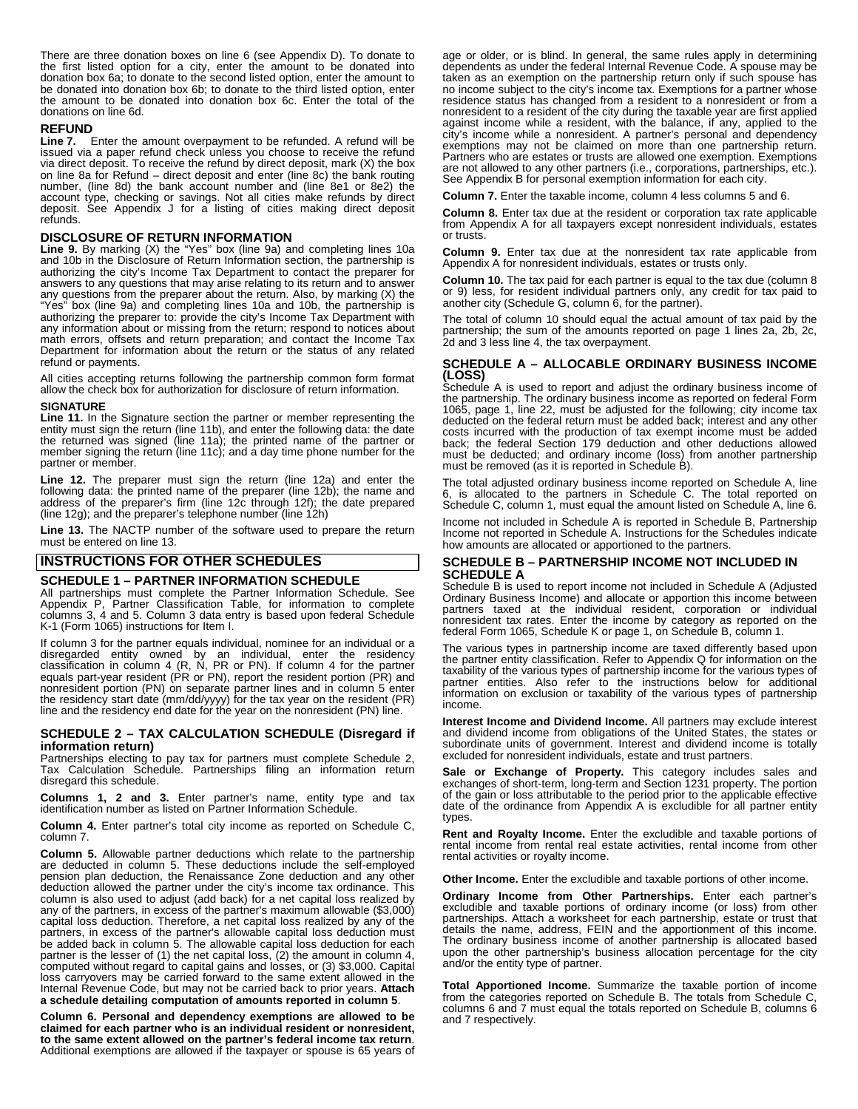There are three donation boxes on line 6 (see Appendix D). To donate to the first listed option for a city, enter the amount to be donated into donation box 6a; to donate to the second listed option, enter the amount to be donated into donation box 6b; to donate to the third listed option, enter the amount to be donated into donation box 6c. Enter the total of the donations on line 6d.

### **REFUND**

**Line 7.** Enter the amount overpayment to be refunded. A refund will be issued via a paper refund check unless you choose to receive the refund via direct deposit. To receive the refund by direct deposit, mark (X) the box on line 8a for Refund – direct deposit and enter (line 8c) the bank routing number, (line 8d) the bank account number and (line 8e1 or 8e2) the account type, checking or savings. Not all cities make refunds by direct deposit. See Appendix J for a listing of cities making direct deposit refunds.

### **DISCLOSURE OF RETURN INFORMATION**

**Line 9.** By marking (X) the "Yes" box (line 9a) and completing lines 10a and 10b in the Disclosure of Return Information section, the partnership is authorizing the city's Income Tax Department to contact the preparer for answers to any questions that may arise relating to its return and to answer any questions from the preparer about the return. Also, by marking (X) the "Yes" box (line 9a) and completing lines 10a and 10b, the partnership is authorizing the preparer to: provide the city's Income Tax Department with any information about or missing from the return; respond to notices about math errors, offsets and return preparation; and contact the Income Tax Department for information about the return or the status of any related refund or payments.

All cities accepting returns following the partnership common form format allow the check box for authorization for disclosure of return information.

**SIGNATURE Line 11.** In the Signature section the partner or member representing the entity must sign the return (line 11b), and enter the following data: the date the returned was signed (line 11a); the printed name of the partner or member signing the return (line 11c); and a day time phone number for the partner or member.

**Line 12.** The preparer must sign the return (line 12a) and enter the following data: the printed name of the preparer (line 12b); the name and address of the preparer's firm (line 12c through 12f); the date prepared (line 12g); and the preparer's telephone number (line 12h)

**Line 13.** The NACTP number of the software used to prepare the return must be entered on line 13.

### **INSTRUCTIONS FOR OTHER SCHEDULES**

### **SCHEDULE 1 – PARTNER INFORMATION SCHEDULE**

All partnerships must complete the Partner Information Schedule. See Appendix P, Partner Classification Table, for information to complete columns 3, 4 and 5. Column 3 data entry is based upon federal Schedule K-1 (Form 1065) instructions for Item I.

If column 3 for the partner equals individual, nominee for an individual or a disregarded entity owned by an individual, enter the residency classification in column 4 (R, N, PR or PN). If column 4 for the partner equals part-year resident (PR or PN), report the resident portion (PR) and nonresident portion (PN) on separate partner lines and in column 5 enter the residency start date (mm/dd/yyyy) for the tax year on the resident (PR) line and the residency end date for the year on the nonresident (PN) line.

### **SCHEDULE 2 – TAX CALCULATION SCHEDULE (Disregard if information return)**

Partnerships electing to pay tax for partners must complete Schedule 2, Tax Calculation Schedule. Partnerships filing an information return disregard this schedule.

**Columns 1, 2 and 3.** Enter partner's name, entity type and tax identification number as listed on Partner Information Schedule.

**Column 4.** Enter partner's total city income as reported on Schedule C, column 7.

**Column 5.** Allowable partner deductions which relate to the partnership are deducted in column 5. These deductions include the self-employed pension plan deduction, the Renaissance Zone deduction and any other deduction allowed the partner under the city's income tax ordinance. This column is also used to adjust (add back) for a net capital loss realized by any of the partners, in excess of the partner's maximum allowable (\$3,000) capital loss deduction. Therefore, a net capital loss realized by any of the partners, in excess of the partner's allowable capital loss deduction must be added back in column 5. The allowable capital loss deduction for each partner is the lesser of (1) the net capital loss, (2) the amount in column 4, computed without regard to capital gains and losses, or (3) \$3,000. Capital loss carryovers may be carried forward to the same extent allowed in the Internal Revenue Code, but may not be carried back to prior years. **Attach a schedule detailing computation of amounts reported in column 5**.

**Column 6. Personal and dependency exemptions are allowed to be**  claimed for each partner who is an individual resident or nonresident,<br>to the same extent allowed on the partner's federal income tax return.<br>Additional exemptions are allowed if the taxpayer or spouse is 65 years of

age or older, or is blind. In general, the same rules apply in determining dependents as under the federal Internal Revenue Code. A spouse may be taken as an exemption on the partnership return only if such spouse has no income subject to the city's income tax. Exemptions for a partner whose residence status has changed from a resident to a nonresident or from a nonresident to a resident of the city during the taxable year are first applied against income while a resident, with the balance, if any, applied to the city's income while a nonresident. A partner's personal and dependency exemptions may not be claimed on more than one partnership return. Partners who are estates or trusts are allowed one exemption. Exemptions are not allowed to any other partners (i.e., corporations, partnerships, etc.). See Appendix B for personal exemption information for each city.

**Column 7.** Enter the taxable income, column 4 less columns 5 and 6.

**Column 8.** Enter tax due at the resident or corporation tax rate applicable from Appendix A for all taxpayers except nonresident individuals, estates or trusts.

**Column 9.** Enter tax due at the nonresident tax rate applicable from Appendix A for nonresident individuals, estates or trusts only.

**Column 10.** The tax paid for each partner is equal to the tax due (column 8 or 9) less, for resident individual partners only, any credit for tax paid to another city (Schedule G, column 6, for the partner).

The total of column 10 should equal the actual amount of tax paid by the partnership; the sum of the amounts reported on page 1 lines 2a, 2b, 2c, 2d and 3 less line 4, the tax overpayment.

### **SCHEDULE A – ALLOCABLE ORDINARY BUSINESS INCOME (LOSS)**  Schedule A is used to report and adjust the ordinary business income of

the partnership. The ordinary business income as reported on federal Form 1065, page 1, line 22, must be adjusted for the following; city income tax deducted on the federal return must be added back; interest and any other costs incurred with the production of tax exempt income must be added back; the federal Section 179 deduction and other deductions allowed must be deducted; and ordinary income (loss) from another partnership must be removed (as it is reported in Schedule B).

The total adjusted ordinary business income reported on Schedule A, line 6, is allocated to the partners in Schedule C. The total reported on Schedule C, column 1, must equal the amount listed on Schedule A, line 6.

Income not included in Schedule A is reported in Schedule B, Partnership Income not reported in Schedule A. Instructions for the Schedules indicate how amounts are allocated or apportioned to the partners.

# **SCHEDULE B – PARTNERSHIP INCOME NOT INCLUDED IN**

Schedule B is used to report income not included in Schedule A (Adjusted Ordinary Business Income) and allocate or apportion this income between partners taxed at the individual resident, corporation or individual nonresident tax rates. Enter the income by category as reported on the federal Form 1065, Schedule K or page 1, on Schedule B, column 1.

The various types in partnership income are taxed differently based upon the partner entity classification. Refer to Appendix Q for information on the taxability of the various types of partnership income for the various types of partner entities. Also refer to the instructions below for additional information on exclusion or taxability of the various types of partnership income.

**Interest Income and Dividend Income.** All partners may exclude interest and dividend income from obligations of the United States, the states or subordinate units of government. Interest and dividend income is totally excluded for nonresident individuals, estate and trust partners.

**Sale or Exchange of Property.** This category includes sales and exchanges of short-term, long-term and Section 1231 property. The portion of the gain or loss attributable to the period prior to the applicable effective date of the ordinance from Appendix A is excludible for all partner entity types.

**Rent and Royalty Income.** Enter the excludible and taxable portions of rental income from rental real estate activities, rental income from other rental activities or royalty income.

**Other Income.** Enter the excludible and taxable portions of other income.

**Ordinary Income from Other Partnerships.** Enter each partner's excludible and taxable portions of ordinary income (or loss) from other partnerships. Attach a worksheet for each partnership, estate or trust that details the name, address, FEIN and the apportionment of this income. The ordinary business income of another partnership is allocated based upon the other partnership's business allocation percentage for the city and/or the entity type of partner.

**Total Apportioned Income.** Summarize the taxable portion of income from the categories reported on Schedule B. The totals from Schedule C, columns 6 and 7 must equal the totals reported on Schedule B, columns 6 and 7 respectively.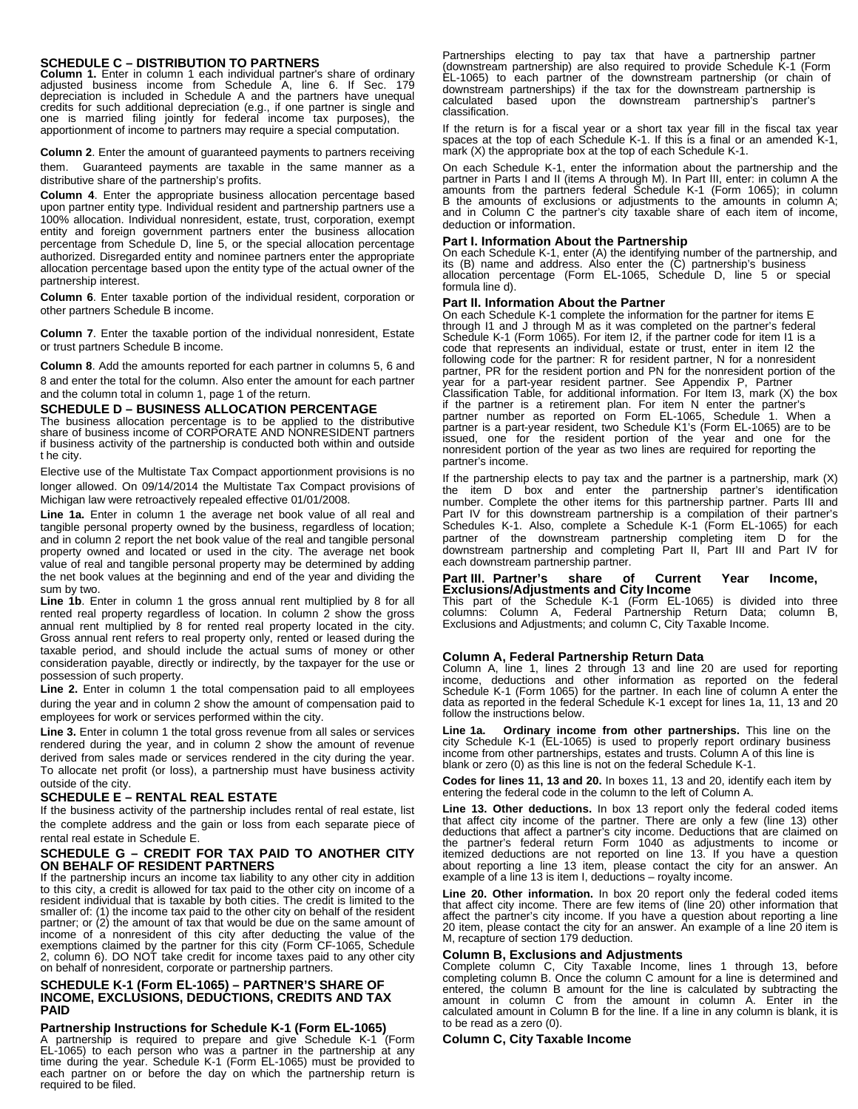### **SCHEDULE C – DISTRIBUTION TO PARTNERS**

**Column 1.** Enter in column 1 each individual partner's share of ordinary adjusted business income from Schedule A, line 6. If Sec. 179 depreciation is included in Schedule A and the partners have unequal credits for such additional depreciation (e.g., if one partner is single and one is married filing jointly for federal income tax purposes), the apportionment of income to partners may require a special computation.

**Column 2**. Enter the amount of guaranteed payments to partners receiving them. Guaranteed payments are taxable in the same manner as a distributive share of the partnership's profits.

**Column 4**. Enter the appropriate business allocation percentage based upon partner entity type. Individual resident and partnership partners use a 100% allocation. Individual nonresident, estate, trust, corporation, exempt entity and foreign government partners enter the business allocation percentage from Schedule D, line 5, or the special allocation percentage authorized. Disregarded entity and nominee partners enter the appropriate allocation percentage based upon the entity type of the actual owner of the partnership interest.

**Column 6**. Enter taxable portion of the individual resident, corporation or other partners Schedule B income.

**Column 7**. Enter the taxable portion of the individual nonresident, Estate or trust partners Schedule B income.

**Column 8**. Add the amounts reported for each partner in columns 5, 6 and 8 and enter the total for the column. Also enter the amount for each partner and the column total in column 1, page 1 of the return.

#### **SCHEDULE D – BUSINESS ALLOCATION PERCENTAGE**

The business allocation percentage is to be applied to the distributive share of business income of CORPORATE AND NONRESIDENT partners if business activity of the partnership is conducted both within and outside t he city.

Elective use of the Multistate Tax Compact apportionment provisions is no longer allowed. On 09/14/2014 the Multistate Tax Compact provisions of Michigan law were retroactively repealed effective 01/01/2008.

Line 1a. Enter in column 1 the average net book value of all real and tangible personal property owned by the business, regardless of location; and in column 2 report the net book value of the real and tangible personal property owned and located or used in the city. The average net book value of real and tangible personal property may be determined by adding the net book values at the beginning and end of the year and dividing the sum by two.

Line 1b. Enter in column 1 the gross annual rent multiplied by 8 for all rented real property regardless of location. In column 2 show the gross annual rent multiplied by 8 for rented real property located in the city. Gross annual rent refers to real property only, rented or leased during the taxable period, and should include the actual sums of money or other consideration payable, directly or indirectly, by the taxpayer for the use or possession of such property.

**Line 2.** Enter in column 1 the total compensation paid to all employees during the year and in column 2 show the amount of compensation paid to employees for work or services performed within the city.

**Line 3.** Enter in column 1 the total gross revenue from all sales or services rendered during the year, and in column 2 show the amount of revenue derived from sales made or services rendered in the city during the year. To allocate net profit (or loss), a partnership must have business activity outside of the city.

### **SCHEDULE E – RENTAL REAL ESTATE**

If the business activity of the partnership includes rental of real estate, list the complete address and the gain or loss from each separate piece of rental real estate in Schedule E.

### **SCHEDULE G – CREDIT FOR TAX PAID TO ANOTHER CITY ON BEHALF OF RESIDENT PARTNERS**

If the partnership incurs an income tax liability to any other city in addition to this city, a credit is allowed for tax paid to the other city on income of a resident individual that is taxable by both cities. The credit is limited to the smaller of: (1) the income tax paid to the other city on behalf of the resident partner; or  $(2)$  the amount of tax that would be due on the same amount of income of a nonresident of this city after deducting the value of the exemptions claimed by the partner for this city (Form CF-1065, Schedule 2, column 6). DO NOT take credit for income taxes paid to any other city on behalf of nonresident, corporate or partnership partners.

### **SCHEDULE K-1 (Form EL-1065) – PARTNER'S SHARE OF INCOME, EXCLUSIONS, DEDUCTIONS, CREDITS AND TAX PAID**

### **Partnership Instructions for Schedule K-1 (Form EL-1065)**

A partnership is required to prepare and give Schedule K-1 (Form EL-1065) to each person who was a partner in the partnership at any time during the year. Schedule K-1 (Form EL-1065) must be provided to each partner on or before the day on which the partnership return is required to be filed.

Partnerships electing to pay tax that have a partnership partner (downstream partnership) are also required to provide Schedule K-1 (Form EL-1065) to each partner of the downstream partnership (or chain of downstream partnerships) if the tax for the downstream partnership is calculated based upon the downstream partnership's partner's classification.

If the return is for a fiscal year or a short tax year fill in the fiscal tax year spaces at the top of each Schedule K-1. If this is a final or an amended K-1, mark (X) the appropriate box at the top of each Schedule K-1.

On each Schedule K-1, enter the information about the partnership and the<br>partner in Parts I and II (items A through M). In Part III, enter: in column A the<br>amounts from the partners federal Schedule K-1 (Form 1065); in co B the amounts of exclusions or adjustments to the amounts in column A; and in Column C the partner's city taxable share of each item of income, deduction or information.

#### **Part I. Information About the Partnership**

On each Schedule K-1, enter (A) the identifying number of the partnership, and its (B) name and address. Also enter the (C) partnership's business allocation percentage (Form EL-1065, Schedule D, line 5 or special formula line d).

#### **Part II. Information About the Partner**

On each Schedule K-1 complete the information for the partner for items E through I1 and J through M as it was completed on the partner's federal Schedule K-1 (Form 1065). For item I2, if the partner code for item I1 is a code that represents an individual, estate or trust, enter in item I2 the following code for the partner: R for resident partner, N for a nonresident partner, PR for the resident portion and PN for the nonresident portion of the year for a part-year resident partner. See Appendix P, Partner Classification Table, for additional information. For Item I3, mark (X) the box if the partner is a retirement plan. For item N enter the partner's partner number as reported on Form EL-1065, Schedule 1. When a partner is a part-year resident, two Schedule K1's (Form EL-1065) are to be issued, one for the resident portion of the year and one for the nonresident portion of the year as two lines are required for reporting the partner's income.

If the partnership elects to pay tax and the partner is a partnership, mark (X) the item D box and enter the partnership partner's identification number. Complete the other items for this partnership partner. Parts III and Part IV for this downstream partnership is a compilation of their partner's Schedules K-1. Also, complete a Schedule K-1 (Form EL-1065) for each partner of the downstream partnership completing item D for the downstream partnership and completing Part II, Part III and Part IV for each downstream partnership partner.

#### **Part III. Partner's share of Current Year Income, Exclusions/Adjustments and City Income**

This part of the Schedule K-1 (Form EL-1065) is divided into three columns: Column A, Federal Partnership Return Data; column B, Exclusions and Adjustments; and column C, City Taxable Income.

### **Column A, Federal Partnership Return Data**

Column A, line 1, lines 2 through 13 and line 20 are used for reporting income, deductions and other information as reported on the federal Schedule K-1 (Form 1065) for the partner. In each line of column A enter the data as reported in the federal Schedule K-1 except for lines 1a, 11, 13 and 20 follow the instructions below.

**Line 1a. Ordinary income from other partnerships.** This line on the city Schedule K-1 (EL-1065) is used to properly report ordinary business income from other partnerships, estates and trusts. Column A of this line is blank or zero (0) as this line is not on the federal Schedule K-1.

**Codes for lines 11, 13 and 20.** In boxes 11, 13 and 20, identify each item by entering the federal code in the column to the left of Column A.

**Line 13. Other deductions.** In box 13 report only the federal coded items that affect city income of the partner. There are only a few (line 13) other deductions that affect a partner's city income. Deductions that are claimed on the partner's federal return Form 1040 as adjustments to income or itemized deductions are not reported on line 13. If you have a question about reporting a line 13 item, please contact the city for an answer. An example of a line 13 is item I, deductions – royalty income.

**Line 20. Other information.** In box 20 report only the federal coded items that affect city income. There are few items of (line 20) other information that affect the partner's city income. If you have a question about reporting a line 20 item, please contact the city for an answer. An example of a line 20 item is M, recapture of section 179 deduction.

**Column B, Exclusions and Adjustments** Complete column C, City Taxable Income, lines 1 through 13, before completing column B. Once the column C amount for a line is determined and entered, the column B amount for the line is calculated by subtracting the amount in column C from the amount in column A. Enter in the calculated amount in Column B for the line. If a line in any column is blank, it is to be read as a zero (0).

### **Column C, City Taxable Income**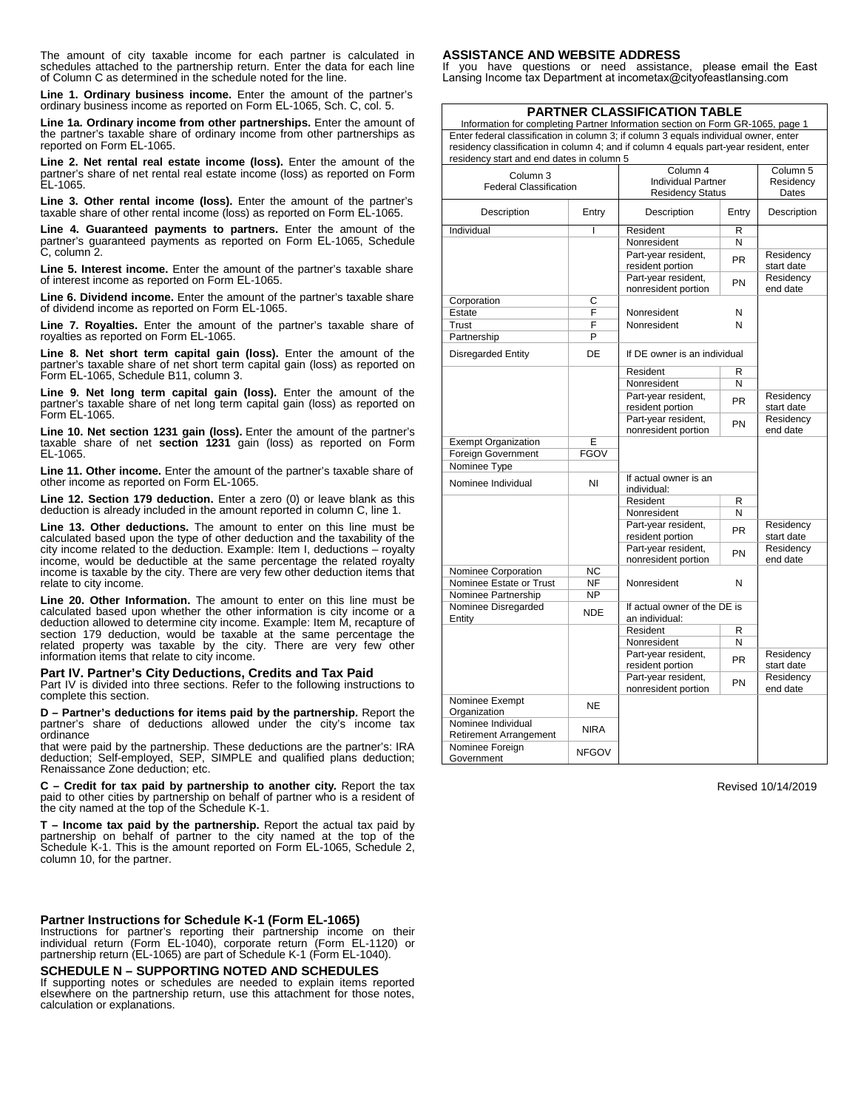The amount of city taxable income for each partner is calculated in schedules attached to the partnership return. Enter the data for each line of Column C as determined in the schedule noted for the line.

**Line 1. Ordinary business income.** Enter the amount of the partner's ordinary business income as reported on Form EL-1065, Sch. C, col. 5.

**Line 1a. Ordinary income from other partnerships.** Enter the amount of the partner's taxable share of ordinary income from other partnerships as reported on Form EL-1065.

**Line 2. Net rental real estate income (loss).** Enter the amount of the partner's share of net rental real estate income (loss) as reported on Form EL-1065.

**Line 3. Other rental income (loss).** Enter the amount of the partner's taxable share of other rental income (loss) as reported on Form EL-1065.

**Line 4. Guaranteed payments to partners.** Enter the amount of the partner's guaranteed payments as reported on Form EL-1065, Schedule C, column 2.

**Line 5. Interest income.** Enter the amount of the partner's taxable share of interest income as reported on Form EL-1065.

**Line 6. Dividend income.** Enter the amount of the partner's taxable share of dividend income as reported on Form EL-1065.

**Line 7. Royalties.** Enter the amount of the partner's taxable share of royalties as reported on Form EL-1065.

**Line 8. Net short term capital gain (loss).** Enter the amount of the partner's taxable share of net short term capital gain (loss) as reported on Form EL-1065, Schedule B11, column 3.

**Line 9. Net long term capital gain (loss).** Enter the amount of the partner's taxable share of net long term capital gain (loss) as reported on Form EL-1065.

**Line 10. Net section 1231 gain (loss).** Enter the amount of the partner's taxable share of net **section 1231** gain (loss) as reported on Form EL-1065.

**Line 11. Other income.** Enter the amount of the partner's taxable share of other income as reported on Form EL-1065.

**Line 12. Section 179 deduction.** Enter a zero (0) or leave blank as this deduction is already included in the amount reported in column C, line 1.

**Line 13. Other deductions.** The amount to enter on this line must be calculated based upon the type of other deduction and the taxability of the city income related to the deduction. Example: Item I, deductions – royalty income, would be deductible at the same percentage the related royalty income is taxable by the city. There are very few other deduction items that relate to city income.

**Line 20. Other Information.** The amount to enter on this line must be calculated based upon whether the other information is city income or a deduction allowed to determine city income. Example: Item M, recapture of section 179 deduction, would be taxable at the same percentage the related property was taxable by the city. There are very few other information items that relate to city income.

#### **Part IV. Partner's City Deductions, Credits and Tax Paid**

Part IV is divided into three sections. Refer to the following instructions to complete this section.

**D – Partner's deductions for items paid by the partnership.** Report the partner's share of deductions allowed under the city's income tax ordinance

that were paid by the partnership. These deductions are the partner's: IRA deduction; Self-employed, SEP, SIMPLE and qualified plans deduction; Renaissance Zone deduction; etc.

**C – Credit for tax paid by partnership to another city.** Report the tax paid to other cities by partnership on behalf of partner who is a resident of the city named at the top of the Schedule K-1.

**T – Income tax paid by the partnership.** Report the actual tax paid by partnership on behalf of partner to the city named at the top of the Schedule K-1. This is the amount reported on Form EL-1065, Schedule 2, column 10, for the partner.

### **Partner Instructions for Schedule K-1 (Form EL-1065)**

Instructions for partner's reporting their partnership income on their individual return (Form EL-1040), corporate return (Form EL-1120) or partnership return (EL-1065) are part of Schedule K-1 (Form EL-1040).

### **SCHEDULE N – SUPPORTING NOTED AND SCHEDULES**

If supporting notes or schedules are needed to explain items reported elsewhere on the partnership return, use this attachment for those notes, calculation or explanations.

#### **ASSISTANCE AND WEBSITE ADDRESS**

If you have questions or need assistance, please email the East Lansing Income tax Department at incometax@cityofeastlansing.com

### **PARTNER CLASSIFICATION TABLE**

Information for completing Partner Information section on Form GR-1065, page 1 Enter federal classification in column 3; if column 3 equals individual owner, enter residency classification in column 4; and if column 4 equals part-year resident, enter residency start and end dates in column 5

| Column <sub>3</sub><br><b>Federal Classification</b> | Column 4<br><b>Individual Partner</b><br><b>Residency Status</b> | Column 5<br>Residency<br>Dates                 |                       |                         |
|------------------------------------------------------|------------------------------------------------------------------|------------------------------------------------|-----------------------|-------------------------|
| Description                                          | Entry                                                            | Description<br>Entry                           |                       | Description             |
| Individual                                           | ı                                                                | Resident                                       | R                     |                         |
|                                                      |                                                                  | Nonresident                                    | N                     |                         |
|                                                      |                                                                  | Part-year resident,<br>resident portion        | <b>PR</b>             | Residency<br>start date |
|                                                      |                                                                  | Part-year resident,<br>nonresident portion     | PN                    | Residency<br>end date   |
| Corporation                                          | C                                                                |                                                | N                     |                         |
| Estate                                               | F                                                                | Nonresident                                    |                       |                         |
| Trust                                                | F                                                                | Nonresident                                    | N                     |                         |
| Partnership                                          | P                                                                |                                                |                       |                         |
| <b>Disregarded Entity</b>                            | DE                                                               | If DE owner is an individual                   |                       |                         |
|                                                      |                                                                  | Resident                                       | R                     |                         |
|                                                      |                                                                  | Nonresident                                    | N                     |                         |
|                                                      |                                                                  | Part-year resident,                            | <b>PR</b>             | Residency               |
|                                                      |                                                                  | resident portion                               |                       | start date              |
|                                                      |                                                                  | Part-year resident,<br>nonresident portion     | Residency<br>end date |                         |
| <b>Exempt Organization</b><br>E                      |                                                                  |                                                |                       |                         |
| <b>Foreign Government</b>                            | <b>FGOV</b>                                                      |                                                |                       |                         |
| Nominee Type                                         |                                                                  |                                                |                       |                         |
| Nominee Individual                                   | NI                                                               | If actual owner is an<br>individual:           |                       |                         |
|                                                      |                                                                  | Resident                                       | R                     |                         |
|                                                      |                                                                  | Nonresident                                    | N                     |                         |
|                                                      |                                                                  | Part-year resident,<br>resident portion        | PR                    |                         |
|                                                      |                                                                  | Part-year resident,<br>nonresident portion     | PN                    | Residency<br>end date   |
| Nominee Corporation                                  | <b>NC</b>                                                        |                                                |                       |                         |
| Nominee Estate or Trust                              | <b>NF</b>                                                        | Nonresident                                    | N                     |                         |
| Nominee Partnership                                  | NP                                                               |                                                |                       |                         |
| Nominee Disregarded<br>Entity                        | <b>NDE</b>                                                       | If actual owner of the DE is<br>an individual: |                       |                         |
|                                                      |                                                                  | Resident                                       | R                     |                         |
|                                                      |                                                                  | Nonresident                                    | N                     |                         |
|                                                      |                                                                  | Part-year resident,                            | <b>PR</b>             | Residency               |
|                                                      |                                                                  | resident portion                               |                       | start date              |
|                                                      |                                                                  | Part-year resident,<br>nonresident portion     | PN                    | Residency<br>end date   |
| Nominee Exempt<br>Organization                       | <b>NE</b>                                                        |                                                |                       |                         |
| Nominee Individual<br><b>Retirement Arrangement</b>  | <b>NIRA</b>                                                      |                                                |                       |                         |
| Nominee Foreign<br><b>NFGOV</b><br>Government        |                                                                  |                                                |                       |                         |

Revised 10/14/2019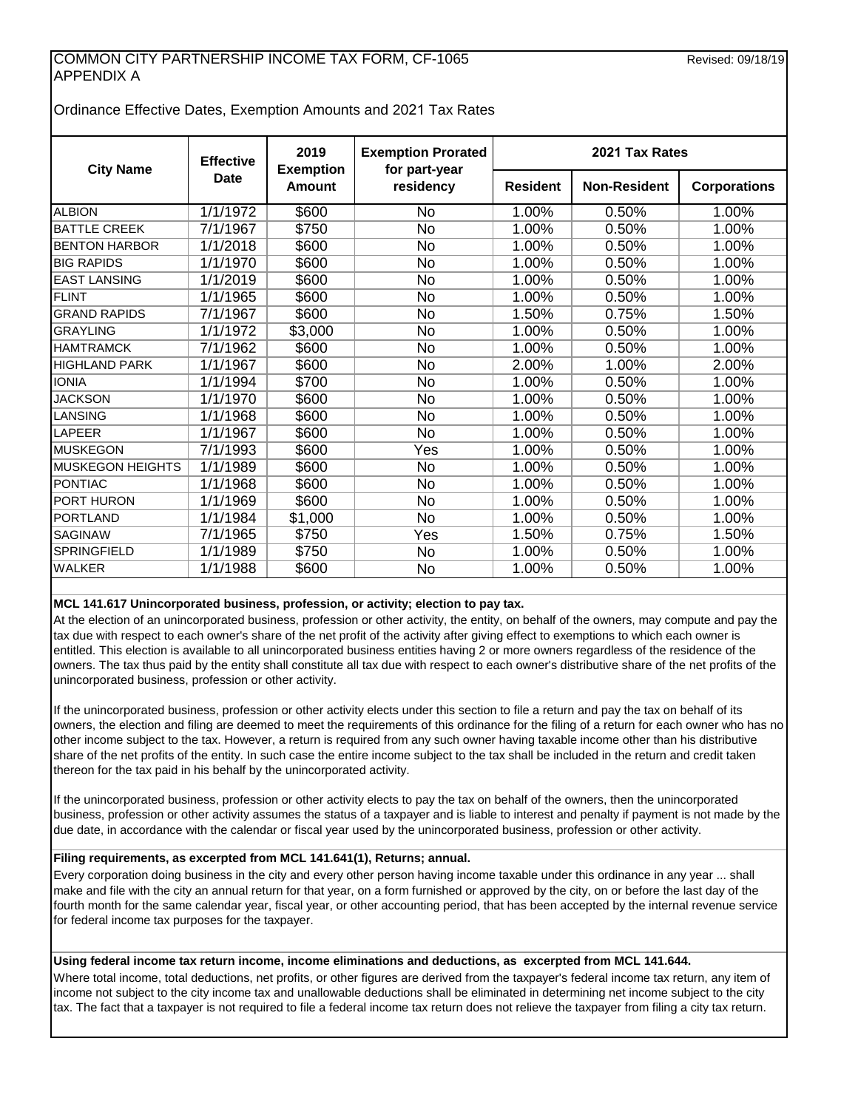### COMMON CITY PARTNERSHIP INCOME TAX FORM, CF-1065 APPENDIX A

Ordinance Effective Dates, Exemption Amounts and 2021 Tax Rates

| <b>City Name</b>        | <b>Effective</b>       | 2019<br><b>Exemption</b> | <b>Exemption Prorated</b><br>for part-year | 2021 Tax Rates  |                     |                     |  |  |
|-------------------------|------------------------|--------------------------|--------------------------------------------|-----------------|---------------------|---------------------|--|--|
|                         | <b>Date</b>            | <b>Amount</b>            | residency                                  | <b>Resident</b> | <b>Non-Resident</b> | <b>Corporations</b> |  |  |
| <b>ALBION</b>           | $\frac{1}{1}$ 1/1/1972 | \$600                    | <b>No</b>                                  | 1.00%           | 0.50%               | 1.00%               |  |  |
| <b>BATTLE CREEK</b>     | 7/1/1967               | \$750                    | <b>No</b>                                  | 1.00%           | 0.50%               | 1.00%               |  |  |
| <b>BENTON HARBOR</b>    | 1/1/2018               | \$600                    | <b>No</b>                                  | 1.00%           | 0.50%               | 1.00%               |  |  |
| <b>BIG RAPIDS</b>       | 1/1/1970               | \$600                    | No                                         | 1.00%           | 0.50%               | 1.00%               |  |  |
| <b>EAST LANSING</b>     | 1/1/2019               | \$600                    | <b>No</b>                                  | 1.00%           | 0.50%               | 1.00%               |  |  |
| FLINT                   | 1/1/1965               | \$600                    | No                                         | 1.00%           | 0.50%               | 1.00%               |  |  |
| <b>GRAND RAPIDS</b>     | 7/1/1967               | \$600                    | <b>No</b>                                  | 1.50%           | 0.75%               | 1.50%               |  |  |
| <b>GRAYLING</b>         | 1/1/1972               | $\overline{$}3,000$      | <b>No</b>                                  | 1.00%           | 0.50%               | 1.00%               |  |  |
| <b>HAMTRAMCK</b>        | 7/1/1962               | \$600                    | No                                         | 1.00%           | 0.50%               | 1.00%               |  |  |
| <b>HIGHLAND PARK</b>    | 1/1/1967               | \$600                    | No                                         | 2.00%           | 1.00%               | 2.00%               |  |  |
| <b>IONIA</b>            | 1/1/1994               | \$700                    | No                                         | 1.00%           | 0.50%               | 1.00%               |  |  |
| <b>JACKSON</b>          | 1/1/1970               | \$600                    | <b>No</b>                                  | 1.00%           | 0.50%               | 1.00%               |  |  |
| <b>LANSING</b>          | 1/1/1968               | \$600                    | <b>No</b>                                  | 1.00%           | 0.50%               | 1.00%               |  |  |
| <b>LAPEER</b>           | 1/1/1967               | \$600                    | <b>No</b>                                  | 1.00%           | 0.50%               | 1.00%               |  |  |
| <b>MUSKEGON</b>         | 7/1/1993               | \$600                    | Yes                                        | 1.00%           | 0.50%               | 1.00%               |  |  |
| <b>MUSKEGON HEIGHTS</b> | 1/1/1989               | \$600                    | No                                         | 1.00%           | 0.50%               | 1.00%               |  |  |
| <b>PONTIAC</b>          | 1/1/1968               | \$600                    | No                                         | 1.00%           | 0.50%               | 1.00%               |  |  |
| <b>PORT HURON</b>       | 1/1/1969               | \$600                    | <b>No</b>                                  | 1.00%           | 0.50%               | 1.00%               |  |  |
| <b>PORTLAND</b>         | 1/1/1984               | \$1,000                  | No                                         | 1.00%           | 0.50%               | 1.00%               |  |  |
| <b>SAGINAW</b>          | 7/1/1965               | \$750                    | Yes                                        | 1.50%           | 0.75%               | 1.50%               |  |  |
| <b>SPRINGFIELD</b>      | 1/1/1989               | \$750                    | No                                         | 1.00%           | 0.50%               | 1.00%               |  |  |
| <b>WALKER</b>           | 1/1/1988               | \$600                    | <b>No</b>                                  | 1.00%           | 0.50%               | 1.00%               |  |  |

### **MCL 141.617 Unincorporated business, profession, or activity; election to pay tax.**

At the election of an unincorporated business, profession or other activity, the entity, on behalf of the owners, may compute and pay the tax due with respect to each owner's share of the net profit of the activity after giving effect to exemptions to which each owner is entitled. This election is available to all unincorporated business entities having 2 or more owners regardless of the residence of the owners. The tax thus paid by the entity shall constitute all tax due with respect to each owner's distributive share of the net profits of the unincorporated business, profession or other activity.

If the unincorporated business, profession or other activity elects under this section to file a return and pay the tax on behalf of its owners, the election and filing are deemed to meet the requirements of this ordinance for the filing of a return for each owner who has no other income subject to the tax. However, a return is required from any such owner having taxable income other than his distributive share of the net profits of the entity. In such case the entire income subject to the tax shall be included in the return and credit taken thereon for the tax paid in his behalf by the unincorporated activity.

If the unincorporated business, profession or other activity elects to pay the tax on behalf of the owners, then the unincorporated business, profession or other activity assumes the status of a taxpayer and is liable to interest and penalty if payment is not made by the due date, in accordance with the calendar or fiscal year used by the unincorporated business, profession or other activity.

### **Filing requirements, as excerpted from MCL 141.641(1), Returns; annual.**

Every corporation doing business in the city and every other person having income taxable under this ordinance in any year ... shall make and file with the city an annual return for that year, on a form furnished or approved by the city, on or before the last day of the fourth month for the same calendar year, fiscal year, or other accounting period, that has been accepted by the internal revenue service for federal income tax purposes for the taxpayer.

### **Using federal income tax return income, income eliminations and deductions, as excerpted from MCL 141.644.**

Where total income, total deductions, net profits, or other figures are derived from the taxpayer's federal income tax return, any item of income not subject to the city income tax and unallowable deductions shall be eliminated in determining net income subject to the city tax. The fact that a taxpayer is not required to file a federal income tax return does not relieve the taxpayer from filing a city tax return.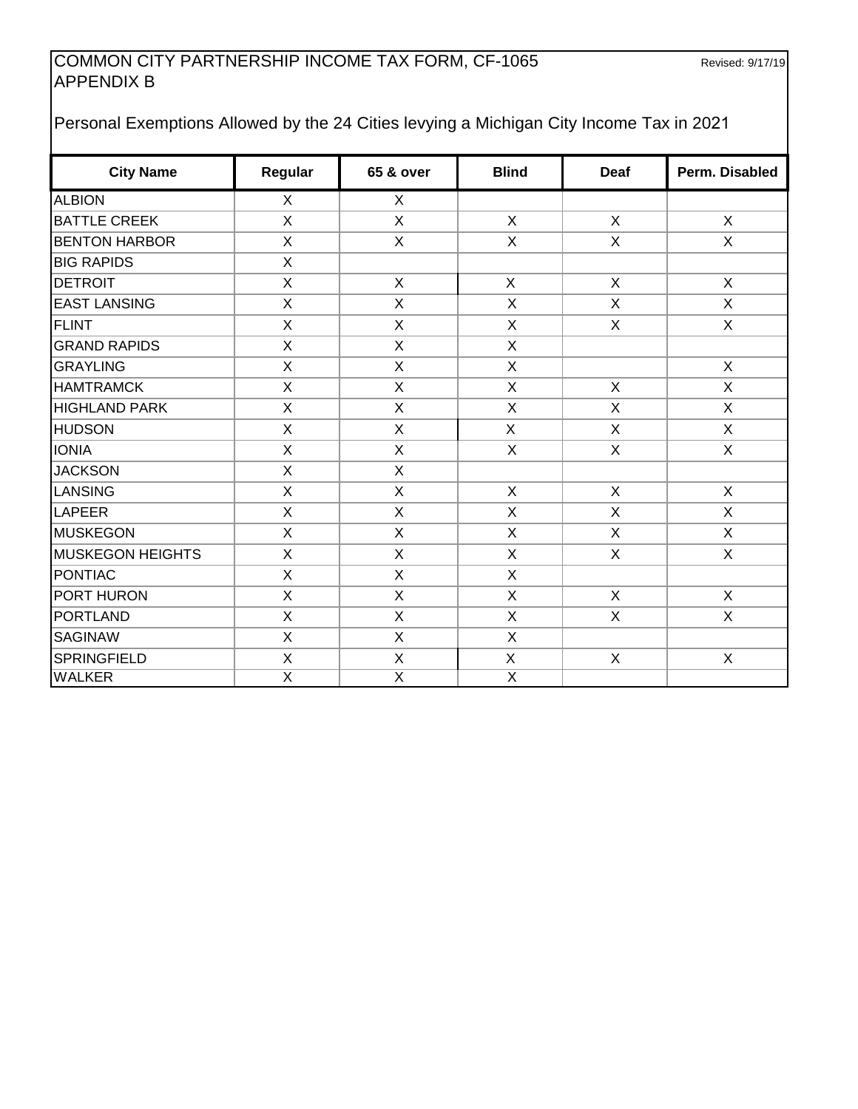## COMMON CITY PARTNERSHIP INCOME TAX FORM, CF-1065 Revised: 9/17/19 APPENDIX B

# Personal Exemptions Allowed by the 24 Cities levying a Michigan City Income Tax in 2021

| <b>City Name</b>        | Regular                   | <b>65 &amp; over</b>      | <b>Blind</b>              | <b>Deaf</b>  | Perm. Disabled            |
|-------------------------|---------------------------|---------------------------|---------------------------|--------------|---------------------------|
| <b>ALBION</b>           | $\mathsf{X}$              | X                         |                           |              |                           |
| <b>BATTLE CREEK</b>     | X                         | X                         | X                         | X            | $\mathsf{X}$              |
| <b>BENTON HARBOR</b>    | X                         | $\mathsf{X}$              | $\mathsf{X}$              | $\mathsf{X}$ | $\mathsf{X}$              |
| <b>BIG RAPIDS</b>       | X                         |                           |                           |              |                           |
| <b>DETROIT</b>          | X                         | X                         | $\mathsf{X}$              | X            | $\mathsf{X}$              |
| <b>EAST LANSING</b>     | X                         | X                         | X                         | X            | X                         |
| <b>FLINT</b>            | $\mathsf{X}$              | X                         | $\mathsf{X}$              | X            | $\mathsf{X}$              |
| <b>GRAND RAPIDS</b>     | X                         | $\mathsf{X}$              | X                         |              |                           |
| <b>GRAYLING</b>         | X                         | X                         | X                         |              | X                         |
| <b>HAMTRAMCK</b>        | X                         | X                         | $\mathsf{X}$              | $\mathsf{X}$ | $\mathsf{X}$              |
| <b>HIGHLAND PARK</b>    | $\boldsymbol{\mathsf{X}}$ | X                         | X                         | X            | $\mathsf{X}$              |
| <b>HUDSON</b>           | $\boldsymbol{\mathsf{X}}$ | $\boldsymbol{\mathsf{X}}$ | X                         | X            | $\mathsf{X}$              |
| <b>IONIA</b>            | $\boldsymbol{\mathsf{X}}$ | X                         | X                         | X            | $\boldsymbol{\mathsf{X}}$ |
| <b>JACKSON</b>          | $\boldsymbol{\mathsf{X}}$ | X                         |                           |              |                           |
| <b>LANSING</b>          | X                         | X                         | X                         | X            | X                         |
| LAPEER                  | X                         | X                         | X                         | X            | X                         |
| <b>MUSKEGON</b>         | $\boldsymbol{\mathsf{X}}$ | X                         | X                         | X            | $\mathsf{X}$              |
| <b>MUSKEGON HEIGHTS</b> | $\boldsymbol{\mathsf{X}}$ | $\mathsf{X}$              | X                         | $\mathsf{X}$ | $\mathsf{X}$              |
| <b>PONTIAC</b>          | X                         | $\mathsf{X}$              | X                         |              |                           |
| PORT HURON              | X                         | X                         | $\mathsf{X}$              | $\mathsf{X}$ | $\mathsf{X}$              |
| PORTLAND                | $\mathsf X$               | X                         | X                         | X            | $\mathsf{X}$              |
| <b>SAGINAW</b>          | $\boldsymbol{\mathsf{X}}$ | $\mathsf{X}$              | X                         |              |                           |
| <b>SPRINGFIELD</b>      | $\mathsf X$               | $\mathsf{X}$              | $\boldsymbol{\mathsf{X}}$ | $\mathsf{X}$ | $\sf X$                   |
| <b>WALKER</b>           | $\overline{\mathsf{x}}$   | $\overline{\mathsf{x}}$   | $\overline{\mathsf{x}}$   |              |                           |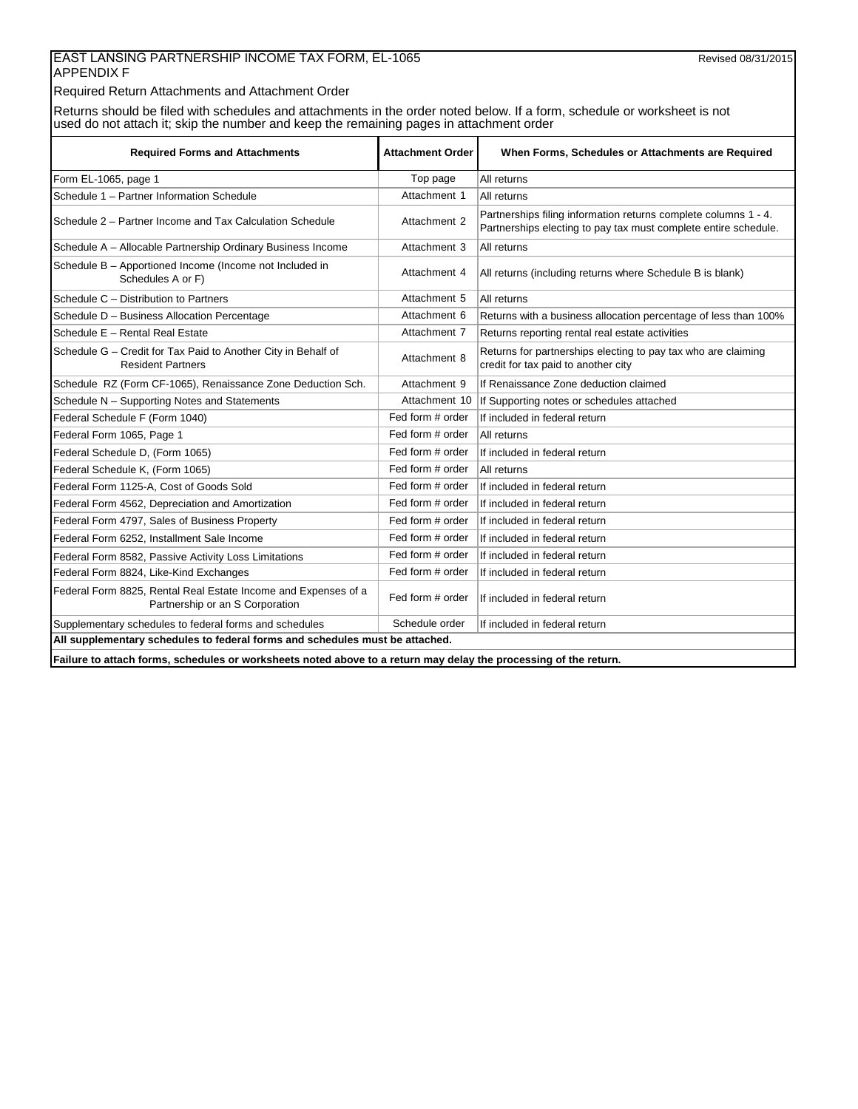### EAST LANSING PARTNERSHIP INCOME TAX FORM, EL-1065 Revised 08/31/2015 APPENDIX F

Required Return Attachments and Attachment Order

Returns should be filed with schedules and attachments in the order noted below. If a form, schedule or worksheet is not used do not attach it; skip the number and keep the remaining pages in attachment order

| <b>Required Forms and Attachments</b>                                                             | <b>Attachment Order</b> | When Forms, Schedules or Attachments are Required                                                                                  |  |  |  |
|---------------------------------------------------------------------------------------------------|-------------------------|------------------------------------------------------------------------------------------------------------------------------------|--|--|--|
| Form EL-1065, page 1                                                                              | Top page                | All returns                                                                                                                        |  |  |  |
| Schedule 1 - Partner Information Schedule                                                         | Attachment 1            | All returns                                                                                                                        |  |  |  |
| Schedule 2 - Partner Income and Tax Calculation Schedule                                          | Attachment 2            | Partnerships filing information returns complete columns 1 - 4.<br>Partnerships electing to pay tax must complete entire schedule. |  |  |  |
| Schedule A - Allocable Partnership Ordinary Business Income                                       | Attachment 3            | All returns                                                                                                                        |  |  |  |
| Schedule B - Apportioned Income (Income not Included in<br>Schedules A or F)                      | Attachment 4            | All returns (including returns where Schedule B is blank)                                                                          |  |  |  |
| Schedule C - Distribution to Partners                                                             | Attachment 5            | All returns                                                                                                                        |  |  |  |
| Schedule D - Business Allocation Percentage                                                       | Attachment 6            | Returns with a business allocation percentage of less than 100%                                                                    |  |  |  |
| Schedule E - Rental Real Estate                                                                   | Attachment 7            | Returns reporting rental real estate activities                                                                                    |  |  |  |
| Schedule G - Credit for Tax Paid to Another City in Behalf of<br><b>Resident Partners</b>         | Attachment 8            | Returns for partnerships electing to pay tax who are claiming<br>credit for tax paid to another city                               |  |  |  |
| Schedule RZ (Form CF-1065), Renaissance Zone Deduction Sch.                                       | Attachment 9            | If Renaissance Zone deduction claimed                                                                                              |  |  |  |
| Schedule N - Supporting Notes and Statements                                                      | Attachment 10           | If Supporting notes or schedules attached                                                                                          |  |  |  |
| Federal Schedule F (Form 1040)                                                                    | Fed form # order        | If included in federal return                                                                                                      |  |  |  |
| Federal Form 1065, Page 1                                                                         | Fed form # order        | All returns                                                                                                                        |  |  |  |
| Federal Schedule D, (Form 1065)                                                                   | Fed form # order        | If included in federal return                                                                                                      |  |  |  |
| Federal Schedule K, (Form 1065)                                                                   | Fed form # order        | All returns                                                                                                                        |  |  |  |
| Federal Form 1125-A, Cost of Goods Sold                                                           | Fed form # order        | If included in federal return                                                                                                      |  |  |  |
| Federal Form 4562, Depreciation and Amortization                                                  | Fed form # order        | If included in federal return                                                                                                      |  |  |  |
| Federal Form 4797, Sales of Business Property                                                     | Fed form # order        | If included in federal return                                                                                                      |  |  |  |
| Federal Form 6252, Installment Sale Income                                                        | Fed form # order        | If included in federal return                                                                                                      |  |  |  |
| Federal Form 8582, Passive Activity Loss Limitations                                              | Fed form # order        | If included in federal return                                                                                                      |  |  |  |
| Federal Form 8824, Like-Kind Exchanges                                                            | Fed form # order        | If included in federal return                                                                                                      |  |  |  |
| Federal Form 8825, Rental Real Estate Income and Expenses of a<br>Partnership or an S Corporation | Fed form # order        | If included in federal return                                                                                                      |  |  |  |
| Supplementary schedules to federal forms and schedules                                            | Schedule order          | If included in federal return                                                                                                      |  |  |  |
| All supplementary schedules to federal forms and schedules must be attached.                      |                         |                                                                                                                                    |  |  |  |
|                                                                                                   |                         |                                                                                                                                    |  |  |  |

**Failure to attach forms, schedules or worksheets noted above to a return may delay the processing of the return.**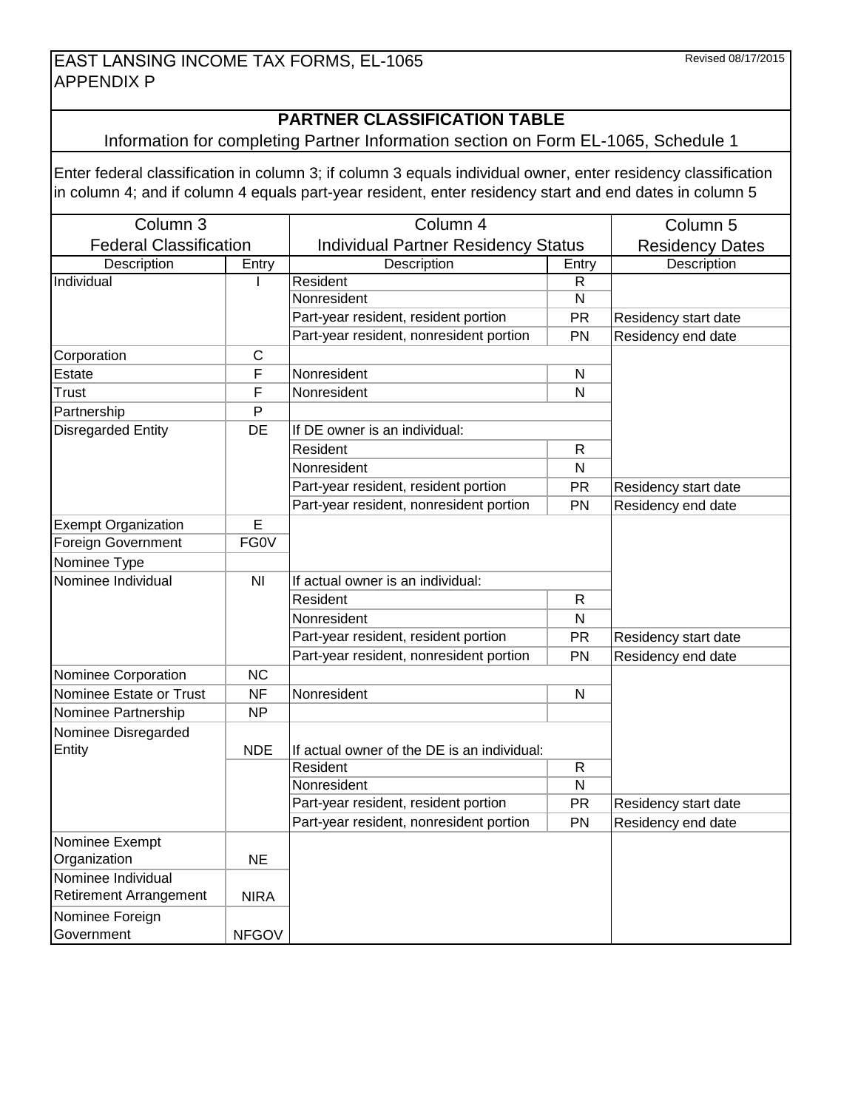# **PARTNER CLASSIFICATION TABLE**

## Information for completing Partner Information section on Form EL-1065, Schedule 1

Enter federal classification in column 3; if column 3 equals individual owner, enter residency classification in column 4; and if column 4 equals part-year resident, enter residency start and end dates in column 5

| Column <sub>3</sub>           |                | Column 4                                    | Column 5                |                      |  |  |
|-------------------------------|----------------|---------------------------------------------|-------------------------|----------------------|--|--|
| <b>Federal Classification</b> |                | <b>Individual Partner Residency Status</b>  | <b>Residency Dates</b>  |                      |  |  |
| Description                   | Entry          | Description                                 | Description             |                      |  |  |
| Individual                    |                | Resident                                    | $\mathsf R$             |                      |  |  |
|                               |                | Nonresident                                 | $\overline{\mathsf{N}}$ |                      |  |  |
|                               |                | Part-year resident, resident portion        | <b>PR</b>               | Residency start date |  |  |
|                               |                | Part-year resident, nonresident portion     | PN                      | Residency end date   |  |  |
| Corporation                   | С              |                                             |                         |                      |  |  |
| Estate                        | F              | Nonresident                                 | $\mathsf{N}$            |                      |  |  |
| Trust                         | F              | Nonresident                                 | $\mathsf{N}$            |                      |  |  |
| Partnership                   | P              |                                             |                         |                      |  |  |
| <b>Disregarded Entity</b>     | <b>DE</b>      | If DE owner is an individual:               |                         |                      |  |  |
|                               |                | Resident                                    | $\mathsf{R}$            |                      |  |  |
|                               |                | Nonresident                                 | ${\sf N}$               |                      |  |  |
|                               |                | Part-year resident, resident portion        | PR                      | Residency start date |  |  |
|                               |                | Part-year resident, nonresident portion     | PN                      | Residency end date   |  |  |
| <b>Exempt Organization</b>    | E              |                                             |                         |                      |  |  |
| Foreign Government            | <b>FG0V</b>    |                                             |                         |                      |  |  |
| Nominee Type                  |                |                                             |                         |                      |  |  |
| Nominee Individual            | N <sub>l</sub> | If actual owner is an individual:           |                         |                      |  |  |
|                               |                | Resident                                    | R                       |                      |  |  |
|                               |                | Nonresident                                 | ${\sf N}$               |                      |  |  |
|                               |                | Part-year resident, resident portion        | <b>PR</b>               | Residency start date |  |  |
|                               |                | Part-year resident, nonresident portion     | PN                      | Residency end date   |  |  |
| Nominee Corporation           | <b>NC</b>      |                                             |                         |                      |  |  |
| Nominee Estate or Trust       | <b>NF</b>      | Nonresident                                 | $\mathsf{N}$            |                      |  |  |
| Nominee Partnership           | <b>NP</b>      |                                             |                         |                      |  |  |
| Nominee Disregarded           |                |                                             |                         |                      |  |  |
| Entity                        | <b>NDE</b>     | If actual owner of the DE is an individual: |                         |                      |  |  |
|                               |                | Resident                                    |                         |                      |  |  |
|                               |                | Nonresident                                 | $\overline{\mathsf{N}}$ |                      |  |  |
|                               |                | Part-year resident, resident portion        | PR                      | Residency start date |  |  |
|                               |                | Part-year resident, nonresident portion     | Residency end date      |                      |  |  |
| Nominee Exempt                |                |                                             |                         |                      |  |  |
| Organization                  | <b>NE</b>      |                                             |                         |                      |  |  |
| Nominee Individual            |                |                                             |                         |                      |  |  |
| <b>Retirement Arrangement</b> | <b>NIRA</b>    |                                             |                         |                      |  |  |
| Nominee Foreign               |                |                                             |                         |                      |  |  |
| Government                    | <b>NFGOV</b>   |                                             |                         |                      |  |  |